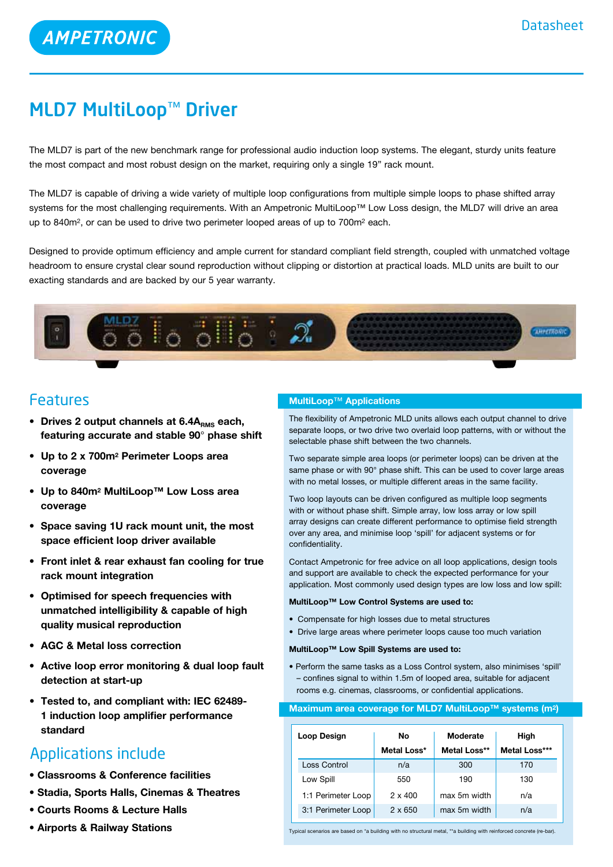# MLD7 MultiLoop™ Driver

AMPETRONIC

The MLD7 is part of the new benchmark range for professional audio induction loop systems. The elegant, sturdy units feature the most compact and most robust design on the market, requiring only a single 19" rack mount.

The MLD7 is capable of driving a wide variety of multiple loop configurations from multiple simple loops to phase shifted array systems for the most challenging requirements. With an Ampetronic MultiLoop™ Low Loss design, the MLD7 will drive an area up to 840m2, or can be used to drive two perimeter looped areas of up to 700m2 each.

Designed to provide optimum efficiency and ample current for standard compliant field strength, coupled with unmatched voltage headroom to ensure crystal clear sound reproduction without clipping or distortion at practical loads. MLD units are built to our exacting standards and are backed by our 5 year warranty.



# Features

- **•** Drives 2 output channels at 6.4A<sub>RMS</sub> each, **featuring accurate and stable 90**° **phase shift**
- **• Up to 2 x 700m2 Perimeter Loops area coverage**
- **• Up to 840m2 MultiLoop™ Low Loss area coverage**
- **• Space saving 1U rack mount unit, the most space efficient loop driver available**
- **• Front inlet & rear exhaust fan cooling for true rack mount integration**
- **• Optimised for speech frequencies with unmatched intelligibility & capable of high quality musical reproduction**
- **• AGC & Metal loss correction**
- **• Active loop error monitoring & dual loop fault detection at start-up**
- **• Tested to, and compliant with: IEC 62489- 1 induction loop amplifier performance standard**

# Applications include

- **• Classrooms & Conference facilities**
- **• Stadia, Sports Halls, Cinemas & Theatres**
- **• Courts Rooms & Lecture Halls**
- **• Airports & Railway Stations**

### **MultiLoop**™ **Applications**

The flexibility of Ampetronic MLD units allows each output channel to drive separate loops, or two drive two overlaid loop patterns, with or without the selectable phase shift between the two channels.

Two separate simple area loops (or perimeter loops) can be driven at the same phase or with 90° phase shift. This can be used to cover large areas with no metal losses, or multiple different areas in the same facility.

Two loop layouts can be driven configured as multiple loop segments with or without phase shift. Simple array, low loss array or low spill array designs can create different performance to optimise field strength over any area, and minimise loop 'spill' for adjacent systems or for confidentiality.

Contact Ampetronic for free advice on all loop applications, design tools and support are available to check the expected performance for your application. Most commonly used design types are low loss and low spill:

#### **MultiLoop™ Low Control Systems are used to:**

- Compensate for high losses due to metal structures
- Drive large areas where perimeter loops cause too much variation

#### **MultiLoop™ Low Spill Systems are used to:**

• Perform the same tasks as a Loss Control system, also minimises 'spill' – confines signal to within 1.5m of looped area, suitable for adjacent rooms e.g. cinemas, classrooms, or confidential applications.

#### **Maximum area coverage for MLD7 MultiLoop™ systems (m2)**

| Loop Design        | No             | Moderate     | High          |
|--------------------|----------------|--------------|---------------|
|                    | Metal Loss*    | Metal Loss** | Metal Loss*** |
| Loss Control       | n/a            | 300          | 170           |
| Low Spill          | 550            | 190          | 130           |
| 1:1 Perimeter Loop | $2 \times 400$ | max 5m width | n/a           |
| 3:1 Perimeter Loop | $2 \times 650$ | max 5m width | n/a           |

Typical scenarios are based on \*a building with no structural metal, \*\*a building with reinforced concrete (re-bar).